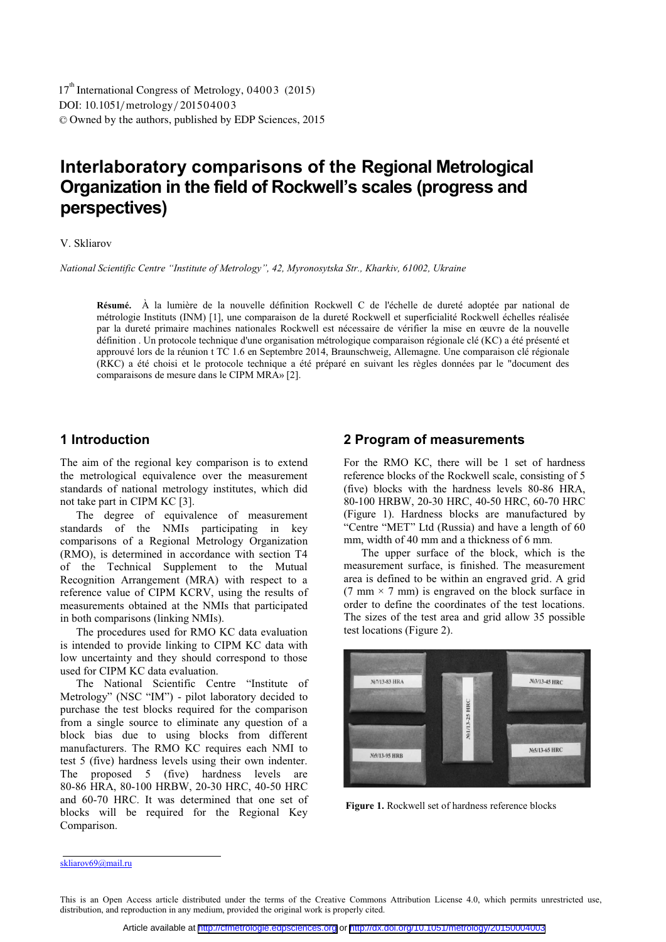DOI: 10.1051/metrology/201504003 -<sup>C</sup> Owned by the authors, published by EDP Sciences, 2015 17<sup>th</sup> International Congress of Metrology, 04003 (2015)

# **Interlaboratory comparisons of the Regional Metrological Organization in the field of Rockwell's scales (progress and perspectives)**

#### V. Skliarov

*National Scientific Centre "Institute of Metrology", 42, Myronosytska Str., Kharkiv, 61002, Ukraine*

 À la lumière de la nouvelle définition Rockwell C de l'échelle de dureté adoptée par national de **Résumé.**  métrologie Instituts (INM) [1], une comparaison de la dureté Rockwell et superficialité Rockwell échelles réalisée par la dureté primaire machines nationales Rockwell est nécessaire de vérifier la mise en œuvre de la nouvelle définition . Un protocole technique d'une organisation métrologique comparaison régionale clé (KC) a été présenté et approuvé lors de la réunion t TC 1.6 en Septembre 2014, Braunschweig, Allemagne. Une comparaison clé régionale (RKC) a été choisi et le protocole technique a été préparé en suivant les règles données par le "document des comparaisons de mesure dans le CIPM MRA» [2].

### **1 Introduction**

The aim of the regional key comparison is to extend the metrological equivalence over the measurement standards of national metrology institutes, which did not take part in CIPM KC [3].

The degree of equivalence of measurement standards of the NMIs participating in key comparisons of a Regional Metrology Organization (RMO), is determined in accordance with section T4 of the Technical Supplement to the Mutual Recognition Arrangement (MRA) with respect to a reference value of CIPM KCRV, using the results of measurements obtained at the NMIs that participated in both comparisons (linking NMIs).

The procedures used for RMO KC data evaluation is intended to provide linking to CIPM KC data with low uncertainty and they should correspond to those used for CIPM KC data evaluation.

The National Scientific Centre "Institute of Metrology" (NSC "IM") - pilot laboratory decided to purchase the test blocks required for the comparison from a single source to eliminate any question of a block bias due to using blocks from different manufacturers. The RMO KC requires each NMI to test 5 (five) hardness levels using their own indenter. The proposed 5 (five) hardness levels are 80-86 HRA, 80-100 HRBW, 20-30 HRC, 40-50 HRC and 60-70 HRC. It was determined that one set of blocks will be required for the Regional Key Comparison.

#### **2 Program of measurements**

For the RMO KC, there will be 1 set of hardness reference blocks of the Rockwell scale, consisting of 5 (five) blocks with the hardness levels 80-86 HRA, 80-100 HRBW, 20-30 HRC, 40-50 HRC, 60-70 HRC (Figure 1). Hardness blocks are manufactured by "Centre "MET" Ltd (Russia) and have a length of 60 mm, width of 40 mm and a thickness of 6 mm.

The upper surface of the block, which is the measurement surface, is finished. The measurement area is defined to be within an engraved grid. A grid (7 mm  $\times$  7 mm) is engraved on the block surface in order to define the coordinates of the test locations. The sizes of the test area and grid allow 35 possible test locations (Figure 2).



**Figure 1.** Rockwell set of hardness reference blocks

skliarov69@mail.ru

This is an Open Access article distributed under the terms of the Creative Commons Attribution License 4.0, which permits unrestricted use, distribution, and reproduction in any medium, provided the original work is properly cited.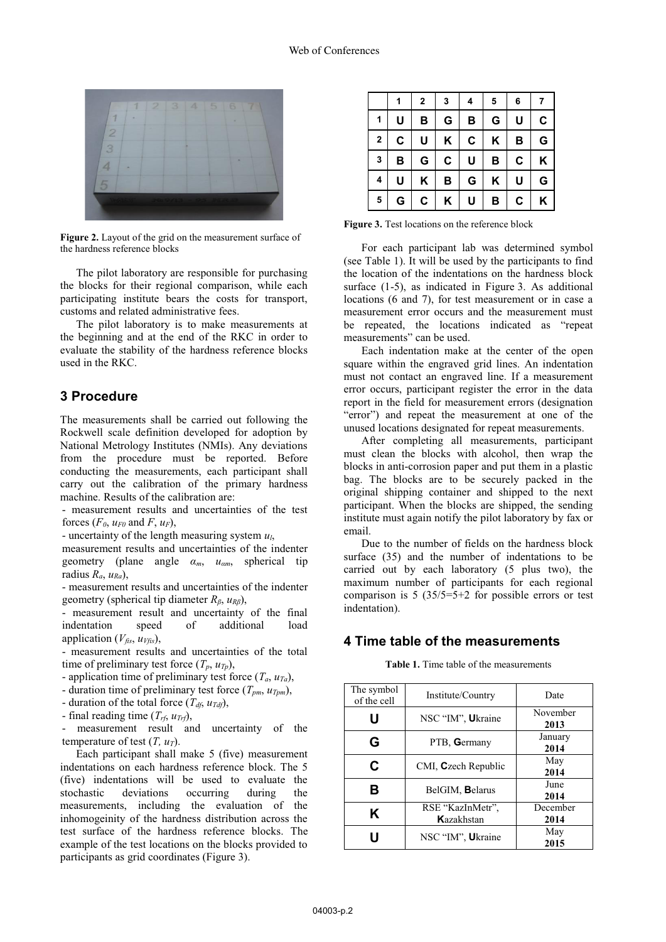

**Figure 2.** Layout of the grid on the measurement surface of the hardness reference blocks

The pilot laboratory are responsible for purchasing the blocks for their regional comparison, while each participating institute bears the costs for transport, customs and related administrative fees.

The pilot laboratory is to make measurements at the beginning and at the end of the RKC in order to evaluate the stability of the hardness reference blocks used in the RKC.

#### **3 Procedure**

The measurements shall be carried out following the Rockwell scale definition developed for adoption by National Metrology Institutes (NMIs). Any deviations from the procedure must be reported. Before conducting the measurements, each participant shall carry out the calibration of the primary hardness machine. Results of the calibration are:

- measurement results and uncertainties of the test forces  $(F_0, u_{F_0})$  and  $F_0, u_F$ ,

- uncertainty of the length measuring system *ul*,

measurement results and uncertainties of the indenter geometry (plane angle *<sup>α</sup><sup>m</sup>*, *<sup>u</sup>αm*, spherical tip radius *Ra*, *uRa*),

- measurement results and uncertainties of the indenter geometry (spherical tip diameter *Rβ*, *<sup>u</sup>Rβ*),

- measurement result and uncertainty of the final indentation speed of additional load application  $(V_{\text{fis}}, u_{\text{Vfis}})$ ,

- measurement results and uncertainties of the total time of preliminary test force  $(T_p, u_{T_p})$ ,

- application time of preliminary test force  $(T_a, u_{Ta})$ ,

- duration time of preliminary test force  $(T_{pm}, u_{Tpm})$ ,

- duration of the total force  $(T_{df}, u_{Tdf})$ ,

- final reading time  $(T_{rf}, u_{Trf})$ ,

- measurement result and uncertainty of the temperature of test  $(T, u_T)$ .

Each participant shall make 5 (five) measurement indentations on each hardness reference block. The 5 (five) indentations will be used to evaluate the stochastic deviations occurring during the measurements, including the evaluation of the inhomogeinity of the hardness distribution across the test surface of the hardness reference blocks. The example of the test locations on the blocks provided to participants as grid coordinates (Figure 3).

|              | 1 | 2 | 3 | 4 | 5 | 6 | 7 |
|--------------|---|---|---|---|---|---|---|
| 1            | U | В | G | В | G | U | C |
| $\mathbf{2}$ | C | U | Κ | C | Κ | В | G |
| 3            | в | G | C | U | В | C | Κ |
| 4            | U | Κ | B | G | Κ | U | G |
| 5            | G | C | Κ | U | В | С | Κ |

**Figure 3.** Test locations on the reference block

For each participant lab was determined symbol (see Table 1). It will be used by the participants to find the location of the indentations on the hardness block surface (1-5), as indicated in Figure 3. As additional locations (6 and 7), for test measurement or in case a measurement error occurs and the measurement must be repeated, the locations indicated as "repeat measurements" can be used.

Each indentation make at the center of the open square within the engraved grid lines. An indentation must not contact an engraved line. If a measurement error occurs, participant register the error in the data report in the field for measurement errors (designation "error") and repeat the measurement at one of the unused locations designated for repeat measurements.

After completing all measurements, participant must clean the blocks with alcohol, then wrap the blocks in anti-corrosion paper and put them in a plastic bag. The blocks are to be securely packed in the original shipping container and shipped to the next participant. When the blocks are shipped, the sending institute must again notify the pilot laboratory by fax or email.

Due to the number of fields on the hardness block surface (35) and the number of indentations to be carried out by each laboratory (5 plus two), the maximum number of participants for each regional comparison is  $5(35/5=5+2$  for possible errors or test indentation).

### **4 Time table of the measurements**

**Table 1.** Time table of the measurements

| The symbol<br>of the cell | Institute/Country              | Date             |  |
|---------------------------|--------------------------------|------------------|--|
| U                         | NSC "IM", Ukraine              | November<br>2013 |  |
| G                         | PTB, Germany                   | January<br>2014  |  |
| C                         | CMI, Czech Republic            | May<br>2014      |  |
| в                         | BelGIM, Belarus                | June<br>2014     |  |
| Κ                         | RSE "KazInMetr",<br>Kazakhstan | December<br>2014 |  |
|                           | NSC "IM", Ukraine              | May<br>2015      |  |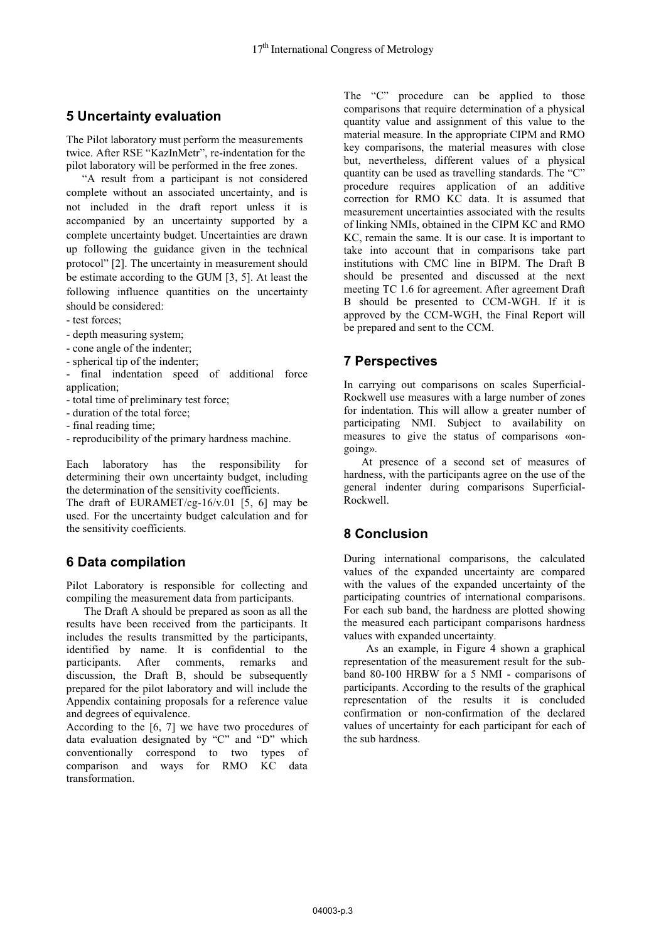### **5 Uncertainty evaluation**

The Pilot laboratory must perform the measurements twice. After RSE "KazInMetr", re-indentation for the pilot laboratory will be performed in the free zones.

"A result from a participant is not considered complete without an associated uncertainty, and is not included in the draft report unless it is accompanied by an uncertainty supported by a complete uncertainty budget. Uncertainties are drawn up following the guidance given in the technical protocol" [2]. The uncertainty in measurement should be estimate according to the GUM [3, 5]. At least the following influence quantities on the uncertainty should be considered:

- test forces;
- depth measuring system;
- cone angle of the indenter;
- spherical tip of the indenter;
- final indentation speed of additional force application:
- total time of preliminary test force;
- duration of the total force;
- final reading time;
- reproducibility of the primary hardness machine.

Each laboratory has the responsibility for determining their own uncertainty budget, including the determination of the sensitivity coefficients.

The draft of EURAMET/cg-16/v.01 [5, 6] may be used. For the uncertainty budget calculation and for the sensitivity coefficients.

## **6 Data compilation**

Pilot Laboratory is responsible for collecting and compiling the measurement data from participants.

The Draft A should be prepared as soon as all the results have been received from the participants. It includes the results transmitted by the participants, identified by name. It is confidential to the participants. After comments, remarks and discussion, the Draft B, should be subsequently prepared for the pilot laboratory and will include the Appendix containing proposals for a reference value and degrees of equivalence.

According to the [6, 7] we have two procedures of data evaluation designated by "C" and "D" which conventionally correspond to two types of comparison and ways for RMO KC data transformation.

The "C" procedure can be applied to those comparisons that require determination of a physical quantity value and assignment of this value to the material measure. In the appropriate CIPM and RMO key comparisons, the material measures with close but, nevertheless, different values of a physical quantity can be used as travelling standards. The "C" procedure requires application of an additive correction for RMO KC data. It is assumed that measurement uncertainties associated with the results of linking NMIs, obtained in the CIPM KC and RMO KC, remain the same. It is our case. It is important to take into account that in comparisons take part institutions with CMC line in BIPM. The Draft B should be presented and discussed at the next meeting TC 1.6 for agreement. After agreement Draft B should be presented to CCM-WGH. If it is approved by the CCM-WGH, the Final Report will be prepared and sent to the CCM.

### **7 Perspectives**

In carrying out comparisons on scales Superficial-Rockwell use measures with a large number of zones for indentation. This will allow a greater number of participating NMI. Subject to availability on measures to give the status of comparisons «ongoing».

At presence of a second set of measures of hardness, with the participants agree on the use of the general indenter during comparisons Superficial-Rockwell.

### **8 Conclusion**

During international comparisons, the calculated values of the expanded uncertainty are compared with the values of the expanded uncertainty of the participating countries of international comparisons. For each sub band, the hardness are plotted showing the measured each participant comparisons hardness values with expanded uncertainty.

As an example, in Figure 4 shown a graphical representation of the measurement result for the subband 80-100 HRBW for a 5 NMI - comparisons of participants. According to the results of the graphical representation of the results it is concluded confirmation or non-confirmation of the declared values of uncertainty for each participant for each of the sub hardness.